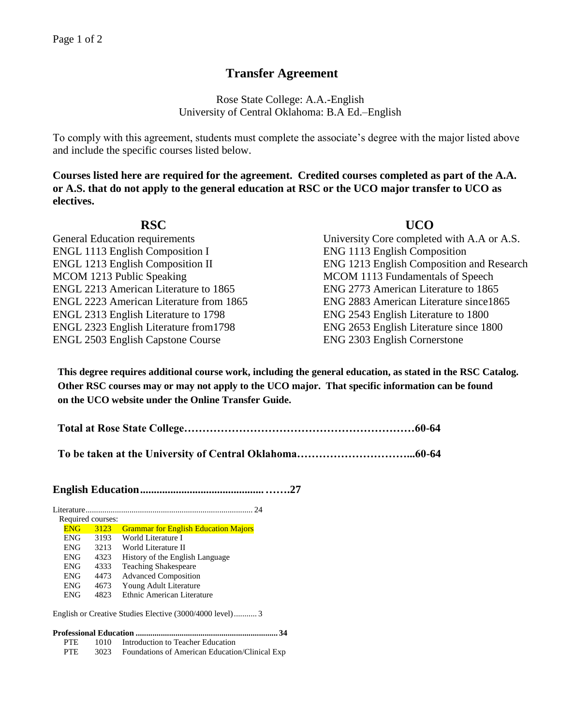# **Transfer Agreement**

Rose State College: A.A.-English University of Central Oklahoma: B.A Ed.–English

To comply with this agreement, students must complete the associate's degree with the major listed above and include the specific courses listed below.

**Courses listed here are required for the agreement. Credited courses completed as part of the A.A. or A.S. that do not apply to the general education at RSC or the UCO major transfer to UCO as electives.**

## **RSC UCO** General Education requirements University Core completed with A.A or A.S. ENGL 1113 English Composition I ENG 1113 English Composition ENGL 1213 English Composition II ENG 1213 English Composition and Research MCOM 1213 Public Speaking MCOM 1113 Fundamentals of Speech ENGL 2213 American Literature to 1865 ENG 2773 American Literature to 1865 ENGL 2223 American Literature from 1865 ENG 2883 American Literature since1865 ENGL 2313 English Literature to 1798 ENG 2543 English Literature to 1800 ENGL 2323 English Literature from1798 ENG 2653 English Literature since 1800 ENGL 2503 English Capstone Course ENG 2303 English Cornerstone

**This degree requires additional course work, including the general education, as stated in the RSC Catalog. Other RSC courses may or may not apply to the UCO major. That specific information can be found on the UCO website under the Online Transfer Guide.**

**Total at Rose State College………………………………………………………60-64**

**To be taken at the University of Central Oklahoma…………………………...60-64**

**English Education.............................................…….27**

| Literature.        | 24                                          |
|--------------------|---------------------------------------------|
| Required courses:  |                                             |
| <b>ENG</b><br>3123 | <b>Grammar for English Education Majors</b> |
| 3193<br><b>ENG</b> | World Literature I                          |
| 3213<br><b>ENG</b> | World Literature II                         |
| <b>ENG</b><br>4323 | History of the English Language             |
| <b>ENG</b><br>4333 | <b>Teaching Shakespeare</b>                 |
| 4473<br><b>ENG</b> | <b>Advanced Composition</b>                 |
| <b>ENG</b><br>4673 | Young Adult Literature                      |
| 4823<br><b>ENG</b> | Ethnic American Literature                  |
|                    |                                             |

English or Creative Studies Elective (3000/4000 level)........... 3

#### **Professional Education .................................................................... 34**

- PTE 1010 Introduction to Teacher Education
- PTE 3023 Foundations of American Education/Clinical Exp